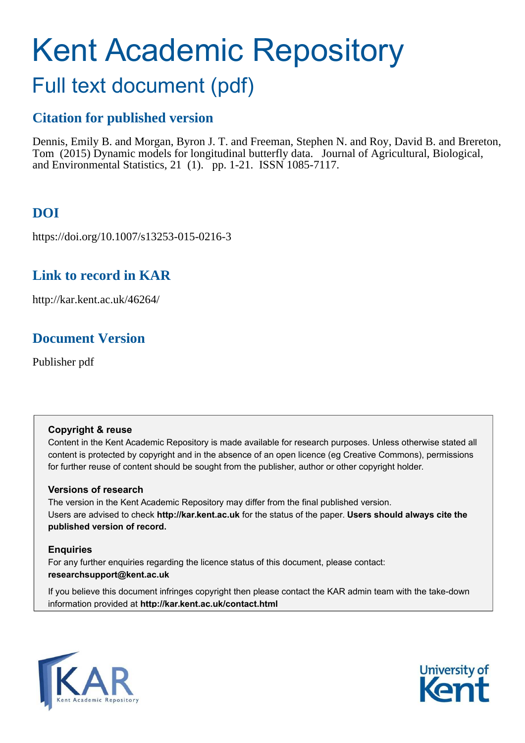# Kent Academic Repository

## Full text document (pdf)

## **Citation for published version**

Dennis, Emily B. and Morgan, Byron J. T. and Freeman, Stephen N. and Roy, David B. and Brereton, Tom (2015) Dynamic models for longitudinal butterfly data. Journal of Agricultural, Biological, and Environmental Statistics, 21 (1). pp. 1-21. ISSN 1085-7117.

## **DOI**

https://doi.org/10.1007/s13253-015-0216-3

## **Link to record in KAR**

http://kar.kent.ac.uk/46264/

## **Document Version**

Publisher pdf

#### **Copyright & reuse**

Content in the Kent Academic Repository is made available for research purposes. Unless otherwise stated all content is protected by copyright and in the absence of an open licence (eg Creative Commons), permissions for further reuse of content should be sought from the publisher, author or other copyright holder.

#### **Versions of research**

The version in the Kent Academic Repository may differ from the final published version. Users are advised to check **http://kar.kent.ac.uk** for the status of the paper. **Users should always cite the published version of record.**

#### **Enquiries**

For any further enquiries regarding the licence status of this document, please contact: **researchsupport@kent.ac.uk**

If you believe this document infringes copyright then please contact the KAR admin team with the take-down information provided at **http://kar.kent.ac.uk/contact.html**



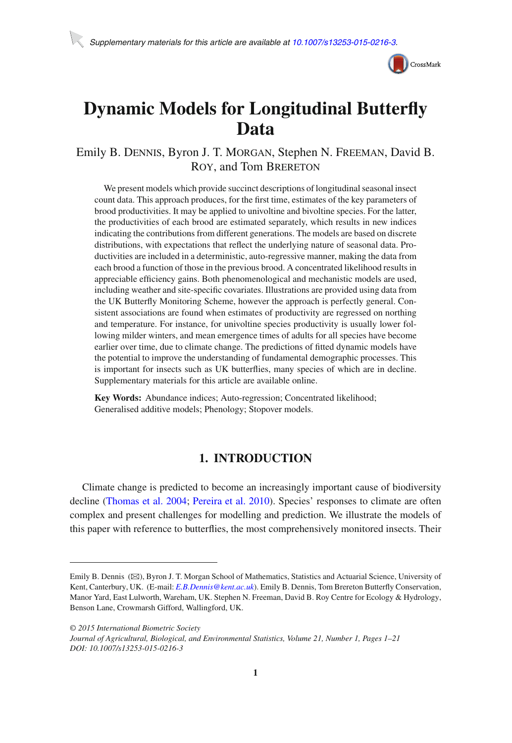

## **Dynamic Models for Longitudinal Butterfly Data**

Emily B. Dennis, Byron J. T. Morgan, Stephen N. Freeman, David B. Roy, and Tom Brereton

We present models which provide succinct descriptions of longitudinal seasonal insect count data. This approach produces, for the first time, estimates of the key parameters of brood productivities. It may be applied to univoltine and bivoltine species. For the latter, the productivities of each brood are estimated separately, which results in new indices indicating the contributions from different generations. The models are based on discrete distributions, with expectations that reflect the underlying nature of seasonal data. Productivities are included in a deterministic, auto-regressive manner, making the data from each brood a function of those in the previous brood. A concentrated likelihood results in appreciable efficiency gains. Both phenomenological and mechanistic models are used, including weather and site-specific covariates. Illustrations are provided using data from the UK Butterfly Monitoring Scheme, however the approach is perfectly general. Consistent associations are found when estimates of productivity are regressed on northing and temperature. For instance, for univoltine species productivity is usually lower following milder winters, and mean emergence times of adults for all species have become earlier over time, due to climate change. The predictions of fitted dynamic models have the potential to improve the understanding of fundamental demographic processes. This is important for insects such as UK butterflies, many species of which are in decline. Supplementary materials for this article are available online.

**Key Words:** Abundance indices; Auto-regression; Concentrated likelihood; Generalised additive models; Phenology; Stopover models.

#### **1. INTRODUCTION**

Climate change is predicted to become an increasingly important cause of biodiversity decline [\(Thomas et al. 2004](#page-20-0); [Pereira et al. 2010](#page-19-0)). Species' responses to climate are often complex and present challenges for modelling and prediction. We illustrate the models of this paper with reference to butterflies, the most comprehensively monitored insects. Their

Emily B. Dennis ( $\boxtimes$ ), Byron J. T. Morgan School of Mathematics, Statistics and Actuarial Science, University of Kent, Canterbury, UK. (E-mail: *[E.B.Dennis@kent.ac.uk](file:E.B.Dennis@kent.ac.uk)*). Emily B. Dennis, Tom Brereton Butterfly Conservation, Manor Yard, East Lulworth, Wareham, UK. Stephen N. Freeman, David B. Roy Centre for Ecology & Hydrology, Benson Lane, Crowmarsh Gifford, Wallingford, UK.

*<sup>© 2015</sup> International Biometric Society*

*Journal of Agricultural, Biological, and Environmental Statistics, Volume 21, Number 1, Pages 1–21 DOI: 10.1007/s13253-015-0216-3*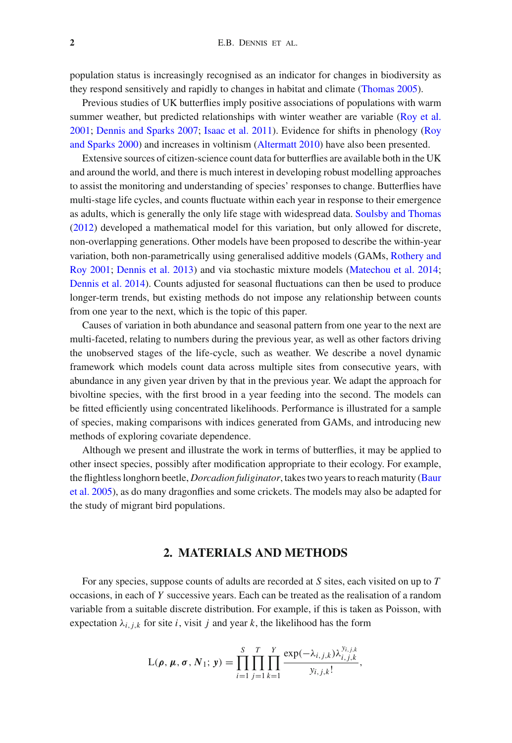population status is increasingly recognised as an indicator for changes in biodiversity as they respond sensitively and rapidly to changes in habitat and climate [\(Thomas 2005\)](#page-20-1).

Previous studies of UK butterflies imply positive associations of populations with warm summer weather, but predicted relationships with winter weather are variable [\(Roy et al.](#page-19-1) [2001;](#page-19-1) [Dennis and Sparks 2007](#page-18-0); [Isaac et al. 2011](#page-19-2)[\). Evidence for shifts in phenology \(](#page-19-3)Roy and Sparks [2000](#page-19-3)) and increases in voltinism [\(Altermatt 2010\)](#page-18-1) have also been presented.

Extensive sources of citizen-science count data for butterflies are available both in the UK and around the world, and there is much interest in developing robust modelling approaches to assist the monitoring and understanding of species' responses to change. Butterflies have multi-stage life cycles, and counts fluctuate within each year in response to their emergence as adults, which is generally the only life stage with widespread data. [Soulsby and Thomas](#page-20-2) [\(2012\)](#page-20-2) developed a mathematical model for this variation, but only allowed for discrete, non-overlapping generations. Other models have been proposed to describe the within-year vari[ation, both non-parametrically using generalised additive models \(GAMs,](#page-19-4) Rothery and Roy [2001](#page-19-4); [Dennis et al. 2013\)](#page-18-2) and via stochastic mixture models [\(Matechou et al. 2014;](#page-19-5) [Dennis et al. 2014\)](#page-19-6). Counts adjusted for seasonal fluctuations can then be used to produce longer-term trends, but existing methods do not impose any relationship between counts from one year to the next, which is the topic of this paper.

Causes of variation in both abundance and seasonal pattern from one year to the next are multi-faceted, relating to numbers during the previous year, as well as other factors driving the unobserved stages of the life-cycle, such as weather. We describe a novel dynamic framework which models count data across multiple sites from consecutive years, with abundance in any given year driven by that in the previous year. We adapt the approach for bivoltine species, with the first brood in a year feeding into the second. The models can be fitted efficiently using concentrated likelihoods. Performance is illustrated for a sample of species, making comparisons with indices generated from GAMs, and introducing new methods of exploring covariate dependence.

Although we present and illustrate the work in terms of butterflies, it may be applied to other insect species, possibly after modification appropriate to their ecology. For example, the flightless longhorn beetle, *Dorcadion fuliginator*[, takes two years to reach maturity \(](#page-18-3)Baur et al. [2005\)](#page-18-3), as do many dragonflies and some crickets. The models may also be adapted for the study of migrant bird populations.

#### **2. MATERIALS AND METHODS**

<span id="page-2-0"></span>For any species, suppose counts of adults are recorded at *S* sites, each visited on up to *T* occasions, in each of *Y* successive years. Each can be treated as the realisation of a random variable from a suitable discrete distribution. For example, if this is taken as Poisson, with expectation  $\lambda_{i,j,k}$  for site *i*, visit *j* and year *k*, the likelihood has the form

$$
L(\rho, \mu, \sigma, N_1; y) = \prod_{i=1}^S \prod_{j=1}^T \prod_{k=1}^Y \frac{\exp(-\lambda_{i,j,k}) \lambda_{i,j,k}^{y_{i,j,k}}}{y_{i,j,k}!},
$$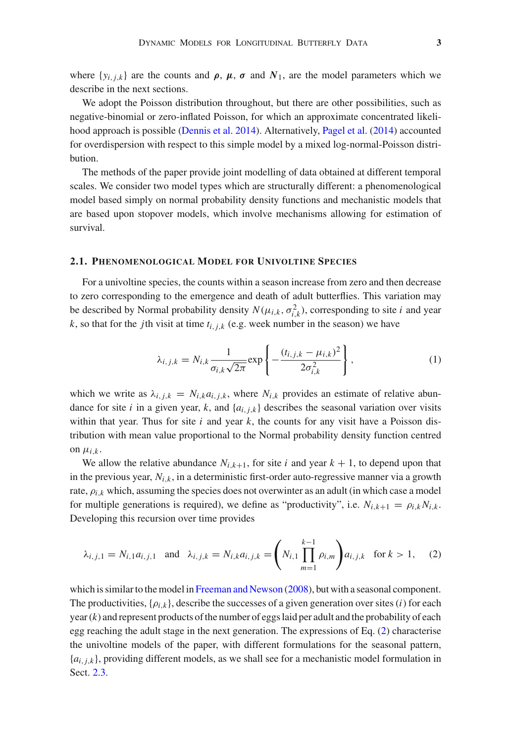where  $\{y_{i,j,k}\}\$  are the counts and  $\rho$ ,  $\mu$ ,  $\sigma$  and  $N_1$ , are the model parameters which we describe in the next sections.

We adopt the Poisson distribution throughout, but there are other possibilities, such as negative-binomial or zero-inflated Poisson, for which an approximate concentrated likelihood approach is possible [\(Dennis et al. 2014](#page-19-6)). Alternatively, [Pagel et al.](#page-19-7) [\(2014\)](#page-19-7) accounted for overdispersion with respect to this simple model by a mixed log-normal-Poisson distribution.

The methods of the paper provide joint modelling of data obtained at different temporal scales. We consider two model types which are structurally different: a phenomenological model based simply on normal probability density functions and mechanistic models that are based upon stopover models, which involve mechanisms allowing for estimation of survival.

#### **2.1. PHENOMENOLOGICAL MODEL FOR UNIVOLTINE SPECIES**

For a univoltine species, the counts within a season increase from zero and then decrease to zero corresponding to the emergence and death of adult butterflies. This variation may be described by Normal probability density  $N(\mu_{i,k}, \sigma_{i,k}^2)$ , corresponding to site *i* and year *k*, so that for the *j*th visit at time  $t_{i,j,k}$  (e.g. week number in the season) we have

$$
\lambda_{i,j,k} = N_{i,k} \frac{1}{\sigma_{i,k} \sqrt{2\pi}} \exp\left\{-\frac{(t_{i,j,k} - \mu_{i,k})^2}{2\sigma_{i,k}^2}\right\},\tag{1}
$$

which we write as  $\lambda_{i,j,k} = N_{i,k} a_{i,j,k}$ , where  $N_{i,k}$  provides an estimate of relative abundance for site *i* in a given year, *k*, and  $\{a_{i,j,k}\}$  describes the seasonal variation over visits within that year. Thus for site  $i$  and year  $k$ , the counts for any visit have a Poisson distribution with mean value proportional to the Normal probability density function centred on  $\mu_{i,k}$ .

We allow the relative abundance  $N_{i,k+1}$ , for site *i* and year  $k + 1$ , to depend upon that in the previous year,  $N_{i,k}$ , in a deterministic first-order auto-regressive manner via a growth rate,  $\rho_{i,k}$  which, assuming the species does not overwinter as an adult (in which case a model for multiple generations is required), we define as "productivity", i.e.  $N_{i,k+1} = \rho_{i,k} N_{i,k}$ . Developing this recursion over time provides

<span id="page-3-0"></span>
$$
\lambda_{i,j,1} = N_{i,1}a_{i,j,1} \text{ and } \lambda_{i,j,k} = N_{i,k}a_{i,j,k} = \left(N_{i,1} \prod_{m=1}^{k-1} \rho_{i,m}\right) a_{i,j,k} \text{ for } k > 1, \quad (2)
$$

<span id="page-3-1"></span>which is similar to the model in [Freeman and Newson](#page-19-8) [\(2008](#page-19-8)), but with a seasonal component. The productivities,  $\{ \rho_{i,k} \}$ , describe the successes of a given generation over sites (*i*) for each year (*k*) and represent products of the number of eggs laid per adult and the probability of each egg reaching the adult stage in the next generation. The expressions of Eq. [\(2\)](#page-2-0) characterise the univoltine models of the paper, with different formulations for the seasonal pattern,  ${a_i}_{i,k}$ , providing different models, as we shall see for a mechanistic model formulation in Sect. [2.3.](#page-4-0)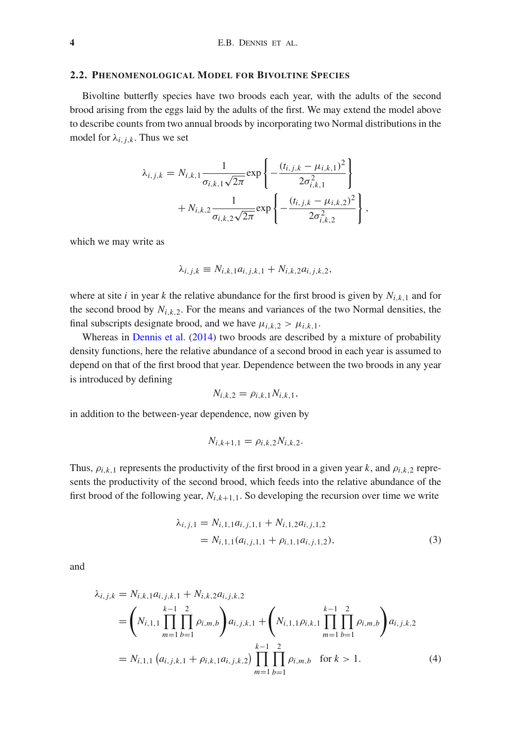#### **2.2. PHENOMENOLOGICAL MODEL FOR BIVOLTINE SPECIES**

<span id="page-4-0"></span>Bivoltine butterfly species have two broods each year, with the adults of the second brood arising from the eggs laid by the adults of the first. We may extend the model above to describe counts from two annual broods by incorporating two Normal distributions in the model for  $\lambda_{i,j,k}$ . Thus we set

$$
\lambda_{i,j,k} = N_{i,k,1} \frac{1}{\sigma_{i,k,1} \sqrt{2\pi}} \exp \left\{ -\frac{(t_{i,j,k} - \mu_{i,k,1})^2}{2\sigma_{i,k,1}^2} \right\} + N_{i,k,2} \frac{1}{\sigma_{i,k,2} \sqrt{2\pi}} \exp \left\{ -\frac{(t_{i,j,k} - \mu_{i,k,2})^2}{2\sigma_{i,k,2}^2} \right\},\,
$$

which we may write as

$$
\lambda_{i,j,k} \equiv N_{i,k,1}a_{i,j,k,1} + N_{i,k,2}a_{i,j,k,2},
$$

where at site *i* in year *k* the relative abundance for the first brood is given by  $N_{i,k,1}$  and for the second brood by  $N_{i,k,2}$ . For the means and variances of the two Normal densities, the final subscripts designate brood, and we have  $\mu_{i,k,2} > \mu_{i,k,1}$ .

<span id="page-4-2"></span>Whereas in [Dennis et al.](#page-19-6) [\(2014](#page-19-6)) two broods are described by a mixture of probability density functions, here the relative abundance of a second brood in each year is assumed to depend on that of the first brood that year. Dependence between the two broods in any year is introduced by defining

$$
N_{i,k,2} = \rho_{i,k,1} N_{i,k,1},
$$

in addition to the between-year dependence, now given by

$$
N_{i,k+1,1} = \rho_{i,k,2} N_{i,k,2}.
$$

<span id="page-4-1"></span>Thus,  $\rho_{i,k,1}$  represents the productivity of the first brood in a given year *k*, and  $\rho_{i,k,2}$  represents the productivity of the second brood, which feeds into the relative abundance of the first brood of the following year,  $N_{i,k+1,1}$ . So developing the recursion over time we write

$$
\lambda_{i,j,1} = N_{i,1,1} a_{i,j,1,1} + N_{i,1,2} a_{i,j,1,2}
$$
  
=  $N_{i,1,1} (a_{i,j,1,1} + \rho_{i,1,1} a_{i,j,1,2}),$  (3)

and

$$
\lambda_{i,j,k} = N_{i,k,1} a_{i,j,k,1} + N_{i,k,2} a_{i,j,k,2}
$$
\n
$$
= \left( N_{i,1,1} \prod_{m=1}^{k-1} \prod_{b=1}^{2} \rho_{i,m,b} \right) a_{i,j,k,1} + \left( N_{i,1,1} \rho_{i,k,1} \prod_{m=1}^{k-1} \prod_{b=1}^{2} \rho_{i,m,b} \right) a_{i,j,k,2}
$$
\n
$$
= N_{i,1,1} \left( a_{i,j,k,1} + \rho_{i,k,1} a_{i,j,k,2} \right) \prod_{m=1}^{k-1} \prod_{b=1}^{2} \rho_{i,m,b} \quad \text{for } k > 1.
$$
\n(4)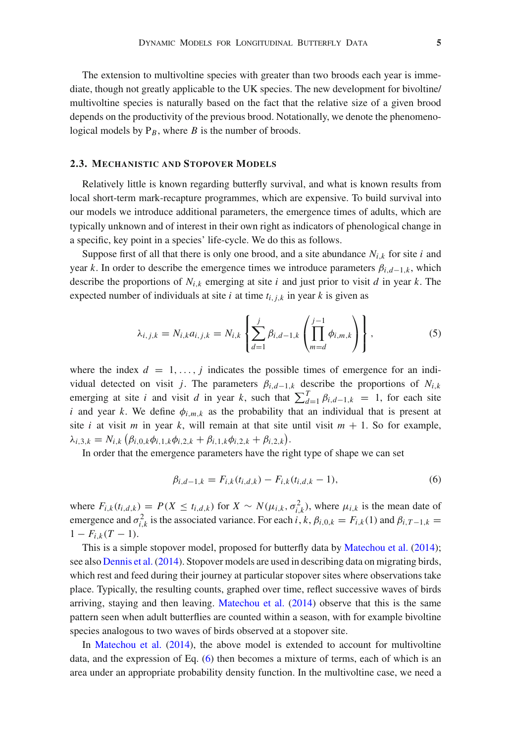The extension to multivoltine species with greater than two broods each year is immediate, though not greatly applicable to the UK species. The new development for bivoltine/ multivoltine species is naturally based on the fact that the relative size of a given brood depends on the productivity of the previous brood. Notationally, we denote the phenomenological models by  $P_B$ , where *B* is the number of broods.

#### **2.3. MECHANISTIC AND STOPOVER MODELS**

<span id="page-5-0"></span>Relatively little is known regarding butterfly survival, and what is known results from local short-term mark-recapture programmes, which are expensive. To build survival into our models we introduce additional parameters, the emergence times of adults, which are typically unknown and of interest in their own right as indicators of phenological change in a specific, key point in a species' life-cycle. We do this as follows.

Suppose first of all that there is only one brood, and a site abundance  $N_{i,k}$  for site *i* and year *k*. In order to describe the emergence times we introduce parameters  $\beta_{i,d-1,k}$ , which describe the proportions of *Ni*,*<sup>k</sup>* emerging at site *i* and just prior to visit *d* in year *k*. The expected number of individuals at site *i* at time  $t_{i,j,k}$  in year *k* is given as

$$
\lambda_{i,j,k} = N_{i,k} a_{i,j,k} = N_{i,k} \left\{ \sum_{d=1}^{j} \beta_{i,d-1,k} \left( \prod_{m=d}^{j-1} \phi_{i,m,k} \right) \right\},
$$
 (5)

where the index  $d = 1, \ldots, j$  indicates the possible times of emergence for an individual detected on visit *j*. The parameters  $\beta_{i,d-1,k}$  describe the proportions of  $N_{i,k}$ emerging at site *i* and visit *d* in year *k*, such that  $\sum_{d=1}^{T} \beta_{i,d-1,k} = 1$ , for each site *i* and year *k*. We define  $\phi_{i,m,k}$  as the probability that an individual that is present at site *i* at visit *m* in year *k*, will remain at that site until visit  $m + 1$ . So for example,  $\lambda_{i,3,k} = N_{i,k} \left( \beta_{i,0,k} \phi_{i,1,k} \phi_{i,2,k} + \beta_{i,1,k} \phi_{i,2,k} + \beta_{i,2,k} \right).$ 

In order that the emergence parameters have the right type of shape we can set

<span id="page-5-1"></span>
$$
\beta_{i,d-1,k} = F_{i,k}(t_{i,d,k}) - F_{i,k}(t_{i,d,k} - 1),
$$
\n(6)

where  $F_{i,k}(t_{i,d,k}) = P(X \le t_{i,d,k})$  for  $X \sim N(\mu_{i,k}, \sigma_{i,k}^2)$ , where  $\mu_{i,k}$  is the mean date of emergence and  $\sigma_{i,k}^2$  is the associated variance. For each *i*, *k*,  $\beta_{i,0,k} = F_{i,k}(1)$  and  $\beta_{i,T-1,k} =$  $1 - F_{i,k}(T - 1).$ 

This is a simple stopover model, proposed for butterfly data by [Matechou et al.](#page-19-5) [\(2014\)](#page-19-5); see also [Dennis et al.](#page-19-6) [\(2014](#page-19-6)). Stopover models are used in describing data on migrating birds, which rest and feed during their journey at particular stopover sites where observations take place. Typically, the resulting counts, graphed over time, reflect successive waves of birds arriving, staying and then leaving. [Matechou et al.](#page-19-5) [\(2014\)](#page-19-5) observe that this is the same pattern seen when adult butterflies are counted within a season, with for example bivoltine species analogous to two waves of birds observed at a stopover site.

In [Matechou et al.](#page-19-5) [\(2014](#page-19-5)), the above model is extended to account for multivoltine data, and the expression of Eq. [\(6\)](#page-4-1) then becomes a mixture of terms, each of which is an area under an appropriate probability density function. In the multivoltine case, we need a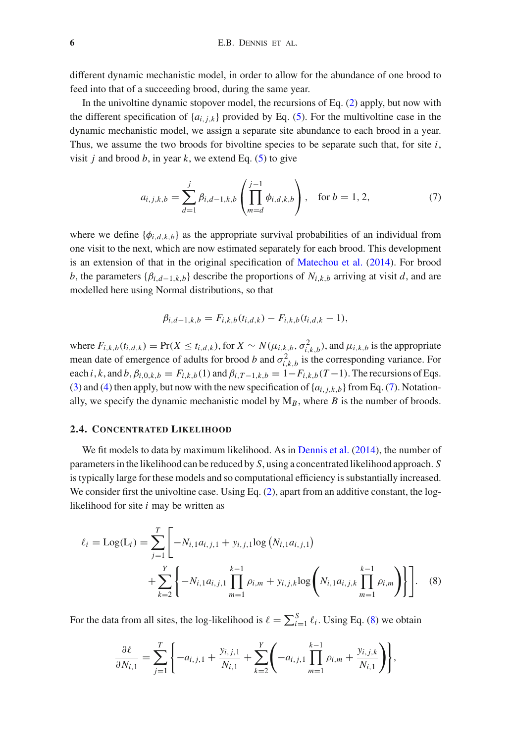different dynamic mechanistic model, in order to allow for the abundance of one brood to feed into that of a succeeding brood, during the same year.

<span id="page-6-0"></span>In the univoltine dynamic stopover model, the recursions of Eq. [\(2\)](#page-2-0) apply, but now with the different specification of  ${a_{i,j,k}}$  provided by Eq. [\(5\)](#page-4-2). For the multivoltine case in the dynamic mechanistic model, we assign a separate site abundance to each brood in a year. Thus, we assume the two broods for bivoltine species to be separate such that, for site *i*, visit *j* and brood *b*, in year *k*, we extend Eq. [\(5\)](#page-4-2) to give

$$
a_{i,j,k,b} = \sum_{d=1}^{j} \beta_{i,d-1,k,b} \left( \prod_{m=d}^{j-1} \phi_{i,d,k,b} \right), \text{ for } b = 1, 2,
$$
 (7)

where we define  $\{\phi_{i,d,k,b}\}$  as the appropriate survival probabilities of an individual from one visit to the next, which are now estimated separately for each brood. This development is an extension of that in the original specification of [Matechou et al.](#page-19-5) [\(2014](#page-19-5)). For brood *b*, the parameters  $\{\beta_{i,d-1,k,b}\}$  describe the proportions of  $N_{i,k,b}$  arriving at visit *d*, and are modelled here using Normal distributions, so that

$$
\beta_{i,d-1,k,b} = F_{i,k,b}(t_{i,d,k}) - F_{i,k,b}(t_{i,d,k}-1),
$$

<span id="page-6-1"></span>where  $F_{i,k,b}(t_{i,d,k}) = \Pr(X \le t_{i,d,k})$ , for  $X \sim N(\mu_{i,k,b}, \sigma_{i,k,b}^2)$ , and  $\mu_{i,k,b}$  is the appropriate mean date of emergence of adults for brood *b* and  $\sigma_{i,k,b}^2$  is the corresponding variance. For each i, k, and b,  $\beta_{i,0,k,b} = F_{i,k,b}(1)$  and  $\beta_{i,T-1,k,b} = 1 - F_{i,k,b}(T-1)$ . The recursions of Eqs. [\(3\)](#page-3-0) and [\(4\)](#page-3-1) then apply, but now with the new specification of  ${a_{i,j,k,b}}$  from Eq. [\(7\)](#page-5-0). Notationally, we specify the dynamic mechanistic model by  $M_B$ , where  $B$  is the number of broods.

#### **2.4. CONCENTRATED LIKELIHOOD**

We fit models to data by maximum likelihood. As in [Dennis et al.](#page-19-6) [\(2014](#page-19-6)), the number of parameters in the likelihood can be reduced by *S*, using a concentrated likelihood approach. *S* is typically large for these models and so computational efficiency is substantially increased. We consider first the univoltine case. Using Eq. [\(2\)](#page-2-0), apart from an additive constant, the loglikelihood for site *i* may be written as

<span id="page-6-2"></span>
$$
\ell_{i} = \text{Log}(L_{i}) = \sum_{j=1}^{T} \left[ -N_{i,1}a_{i,j,1} + y_{i,j,1}\log(N_{i,1}a_{i,j,1}) + \sum_{k=2}^{Y} \left\{ -N_{i,1}a_{i,j,1} \prod_{m=1}^{k-1} \rho_{i,m} + y_{i,j,k}\log\left(N_{i,1}a_{i,j,k} \prod_{m=1}^{k-1} \rho_{i,m}\right) \right\} \right].
$$
 (8)

<span id="page-6-3"></span>For the data from all sites, the log-likelihood is  $\ell = \sum_{i=1}^{S} \ell_i$ . Using Eq. [\(8\)](#page-5-1) we obtain

$$
\frac{\partial \ell}{\partial N_{i,1}} = \sum_{j=1}^T \left\{ -a_{i,j,1} + \frac{y_{i,j,1}}{N_{i,1}} + \sum_{k=2}^Y \left( -a_{i,j,1} \prod_{m=1}^{k-1} \rho_{i,m} + \frac{y_{i,j,k}}{N_{i,1}} \right) \right\},\,
$$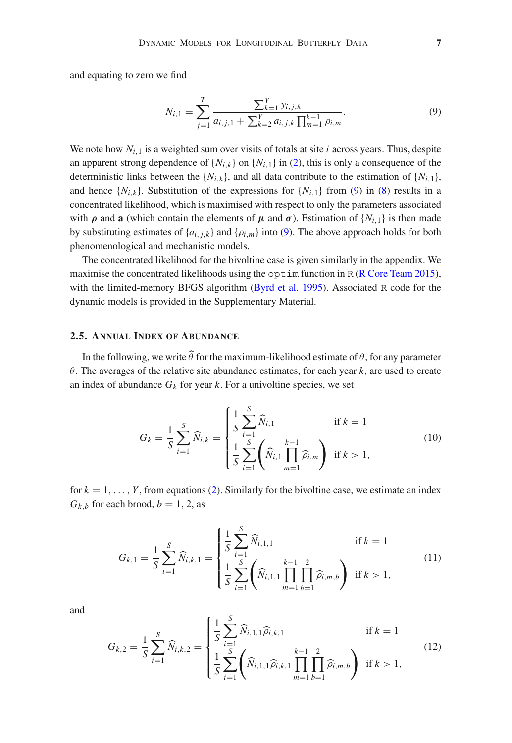and equating to zero we find

$$
N_{i,1} = \sum_{j=1}^{T} \frac{\sum_{k=1}^{Y} y_{i,j,k}}{a_{i,j,1} + \sum_{k=2}^{Y} a_{i,j,k} \prod_{m=1}^{k-1} \rho_{i,m}}.
$$
(9)

We note how  $N_{i,1}$  is a weighted sum over visits of totals at site *i* across years. Thus, despite an apparent strong dependence of  $\{N_{i,k}\}$  on  $\{N_{i,1}\}$  in [\(2\)](#page-2-0), this is only a consequence of the deterministic links between the  $\{N_{i,k}\}\$ , and all data contribute to the estimation of  $\{N_{i,1}\}\$ , and hence  $\{N_{i,k}\}$ . Substitution of the expressions for  $\{N_{i,1}\}$  from [\(9\)](#page-6-0) in [\(8\)](#page-5-1) results in a concentrated likelihood, which is maximised with respect to only the parameters associated with  $\rho$  and **a** (which contain the elements of  $\mu$  and  $\sigma$ ). Estimation of  $\{N_{i,1}\}\$ is then made by substituting estimates of  $\{a_{i,j,k}\}$  and  $\{\rho_{i,m}\}$  into [\(9\)](#page-6-0). The above approach holds for both phenomenological and mechanistic models.

<span id="page-7-0"></span>The concentrated likelihood for the bivoltine case is given similarly in the appendix. We maximise the concentrated likelihoods using the  $\phi$ ptim function in R [\(R Core Team 2015\)](#page-19-9), with the limited-memory BFGS algorithm [\(Byrd et al. 1995\)](#page-18-4). Associated R code for the dynamic models is provided in the Supplementary Material.

#### **2.5. ANNUAL INDEX OF ABUNDANCE**

In the following, we write  $\widehat{\theta}$  for the maximum-likelihood estimate of  $\theta$ , for any parameter  $\theta$ . The averages of the relative site abundance estimates, for each year  $k$ , are used to create an index of abundance  $G_k$  for year  $k$ . For a univoltine species, we set

$$
G_k = \frac{1}{S} \sum_{i=1}^{S} \widehat{N}_{i,k} = \begin{cases} \frac{1}{S} \sum_{i=1}^{S} \widehat{N}_{i,1} & \text{if } k = 1\\ \frac{1}{S} \sum_{i=1}^{S} \left( \widehat{N}_{i,1} \prod_{m=1}^{k-1} \widehat{\rho}_{i,m} \right) & \text{if } k > 1, \end{cases}
$$
(10)

for  $k = 1, \ldots, Y$ , from equations [\(2\)](#page-2-0). Similarly for the bivoltine case, we estimate an index  $G_{k,b}$  for each brood,  $b = 1, 2$ , as

$$
G_{k,1} = \frac{1}{S} \sum_{i=1}^{S} \widehat{N}_{i,k,1} = \begin{cases} \frac{1}{S} \sum_{i=1}^{S} \widehat{N}_{i,1,1} & \text{if } k=1\\ \frac{1}{S} \sum_{i=1}^{S} \left( \widehat{N}_{i,1,1} \prod_{m=1}^{k-1} \prod_{b=1}^{2} \widehat{\rho}_{i,m,b} \right) & \text{if } k>1, \end{cases} \tag{11}
$$

and

$$
G_{k,2} = \frac{1}{S} \sum_{i=1}^{S} \widehat{N}_{i,k,2} = \begin{cases} \frac{1}{S} \sum_{i=1}^{S} \widehat{N}_{i,1,1} \widehat{\rho}_{i,k,1} & \text{if } k = 1\\ \frac{1}{S} \sum_{i=1}^{S} \left( \widehat{N}_{i,1,1} \widehat{\rho}_{i,k,1} \prod_{m=1}^{k-1} \prod_{b=1}^{2} \widehat{\rho}_{i,m,b} \right) & \text{if } k > 1, \end{cases}
$$
(12)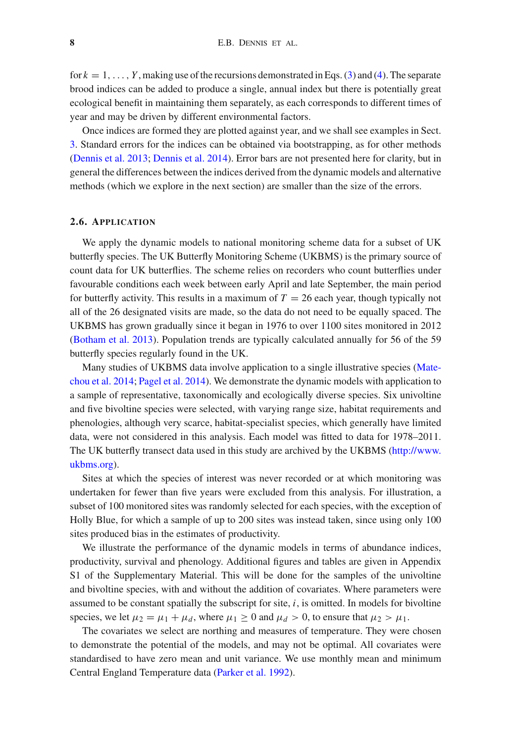for  $k = 1, \ldots, Y$ , making use of the recursions demonstrated in Eqs. [\(3\)](#page-3-0) and [\(4\)](#page-3-1). The separate brood indices can be added to produce a single, annual index but there is potentially great ecological benefit in maintaining them separately, as each corresponds to different times of year and may be driven by different environmental factors.

Once indices are formed they are plotted against year, and we shall see examples in Sect. [3.](#page-8-0) Standard errors for the indices can be obtained via bootstrapping, as for other methods [\(Dennis et al. 2013](#page-18-2); [Dennis et al. 2014\)](#page-19-6). Error bars are not presented here for clarity, but in general the differences between the indices derived from the dynamic models and alternative methods (which we explore in the next section) are smaller than the size of the errors.

#### <span id="page-8-0"></span>**2.6. APPLICATION**

We apply the dynamic models to national monitoring scheme data for a subset of UK butterfly species. The UK Butterfly Monitoring Scheme (UKBMS) is the primary source of count data for UK butterflies. The scheme relies on recorders who count butterflies under favourable conditions each week between early April and late September, the main period for butterfly activity. This results in a maximum of  $T = 26$  each year, though typically not all of the 26 designated visits are made, so the data do not need to be equally spaced. The UKBMS has grown gradually since it began in 1976 to over 1100 sites monitored in 2012 [\(Botham et al. 2013](#page-18-5)). Population trends are typically calculated annually for 56 of the 59 butterfly species regularly found in the UK.

Many [studies of UKBMS data involve application to a single illustrative species \(](#page-19-5)Matechou et al. [2014;](#page-19-5) [Pagel et al. 2014](#page-19-7)). We demonstrate the dynamic models with application to a sample of representative, taxonomically and ecologically diverse species. Six univoltine and five bivoltine species were selected, with varying range size, habitat requirements and phenologies, although very scarce, habitat-specialist species, which generally have limited data, were not considered in this analysis. Each model was fitted to data for 1978–2011. The UK butterfly transect data used in this study are archived by the UKBMS [\(http://www.](http://www.ukbms.org) [ukbms.org\)](http://www.ukbms.org).

Sites at which the species of interest was never recorded or at which monitoring was undertaken for fewer than five years were excluded from this analysis. For illustration, a subset of 100 monitored sites was randomly selected for each species, with the exception of Holly Blue, for which a sample of up to 200 sites was instead taken, since using only 100 sites produced bias in the estimates of productivity.

We illustrate the performance of the dynamic models in terms of abundance indices, productivity, survival and phenology. Additional figures and tables are given in Appendix S1 of the Supplementary Material. This will be done for the samples of the univoltine and bivoltine species, with and without the addition of covariates. Where parameters were assumed to be constant spatially the subscript for site, *i*, is omitted. In models for bivoltine species, we let  $\mu_2 = \mu_1 + \mu_d$ , where  $\mu_1 \ge 0$  and  $\mu_d > 0$ , to ensure that  $\mu_2 > \mu_1$ .

The covariates we select are northing and measures of temperature. They were chosen to demonstrate the potential of the models, and may not be optimal. All covariates were standardised to have zero mean and unit variance. We use monthly mean and minimum Central England Temperature data [\(Parker et al. 1992](#page-19-10)).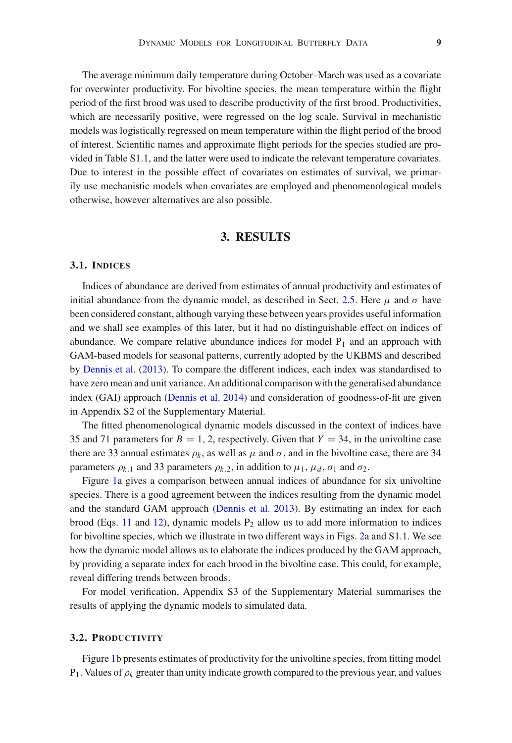The average minimum daily temperature during October–March was used as a covariate for overwinter productivity. For bivoltine species, the mean temperature within the flight period of the first brood was used to describe productivity of the first brood. Productivities, which are necessarily positive, were regressed on the log scale. Survival in mechanistic models was logistically regressed on mean temperature within the flight period of the brood of interest. Scientific names and approximate flight periods for the species studied are provided in Table S1.1, and the latter were used to indicate the relevant temperature covariates. Due to interest in the possible effect of covariates on estimates of survival, we primarily use mechanistic models when covariates are employed and phenomenological models otherwise, however alternatives are also possible.

#### **3. RESULTS**

#### **3.1. INDICES**

Indices of abundance are derived from estimates of annual productivity and estimates of initial abundance from the dynamic model, as described in Sect. [2.5.](#page-6-1) Here  $\mu$  and  $\sigma$  have been considered constant, although varying these between years provides useful information and we shall see examples of this later, but it had no distinguishable effect on indices of abundance. We compare relative abundance indices for model  $P_1$  and an approach with GAM-based models for seasonal patterns, currently adopted by the UKBMS and described by [Dennis et al.](#page-18-2) [\(2013\)](#page-18-2). To compare the different indices, each index was standardised to have zero mean and unit variance. An additional comparison with the generalised abundance index (GAI) approach [\(Dennis et al. 2014](#page-19-6)) and consideration of goodness-of-fit are given in Appendix S2 of the Supplementary Material.

The fitted phenomenological dynamic models discussed in the context of indices have 35 and 71 parameters for  $B = 1, 2$ , respectively. Given that  $Y = 34$ , in the univoltine case there are 33 annual estimates  $\rho_k$ , as well as  $\mu$  and  $\sigma$ , and in the bivoltine case, there are 34 parameters  $\rho_{k,1}$  and 33 parameters  $\rho_{k,2}$ , in addition to  $\mu_1$ ,  $\mu_d$ ,  $\sigma_1$  and  $\sigma_2$ .

Figure [1a](#page-9-0) gives a comparison between annual indices of abundance for six univoltine species. There is a good agreement between the indices resulting from the dynamic model and the standard GAM approach [\(Dennis et al. 2013\)](#page-18-2). By estimating an index for each brood (Eqs. [11](#page-6-2) and [12\)](#page-6-3), dynamic models  $P_2$  allow us to add more information to indices for bivoltine species, which we illustrate in two different ways in Figs. [2a](#page-10-0) and S1.1. We see how the dynamic model allows us to elaborate the indices produced by the GAM approach, by providing a separate index for each brood in the bivoltine case. This could, for example, reveal differing trends between broods.

For model verification, Appendix S3 of the Supplementary Material summarises the results of applying the dynamic models to simulated data.

#### <span id="page-9-0"></span>**3.2. PRODUCTIVITY**

Figure [1b](#page-9-0) presents estimates of productivity for the univoltine species, from fitting model  $P_1$ . Values of  $\rho_k$  greater than unity indicate growth compared to the previous year, and values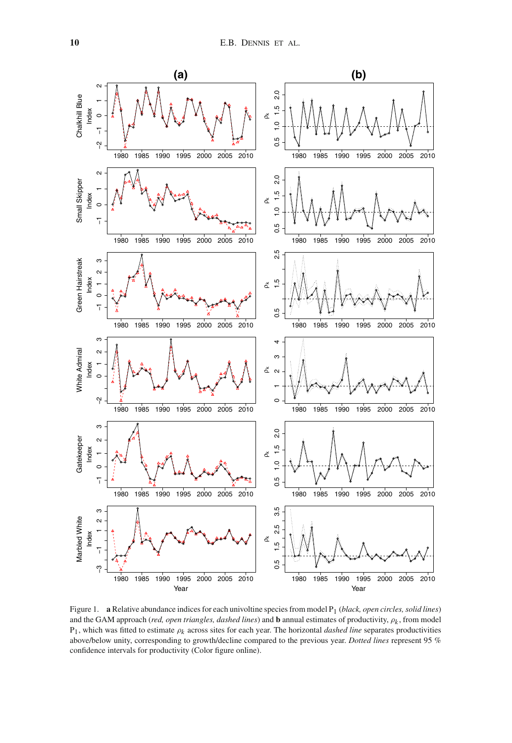

<span id="page-10-0"></span>Figure 1. **a** Relative abundance indices for each univoltine species from model P1 (*black, open circles, solid lines*) and the GAM approach (*red, open triangles, dashed lines*) and **b** annual estimates of productivity, ρ*k* , from model  $P_1$ , which was fitted to estimate  $\rho_k$  across sites for each year. The horizontal *dashed line* separates productivities above/below unity, corresponding to growth/decline compared to the previous year. *Dotted lines* represent 95 % confidence intervals for productivity (Color figure online).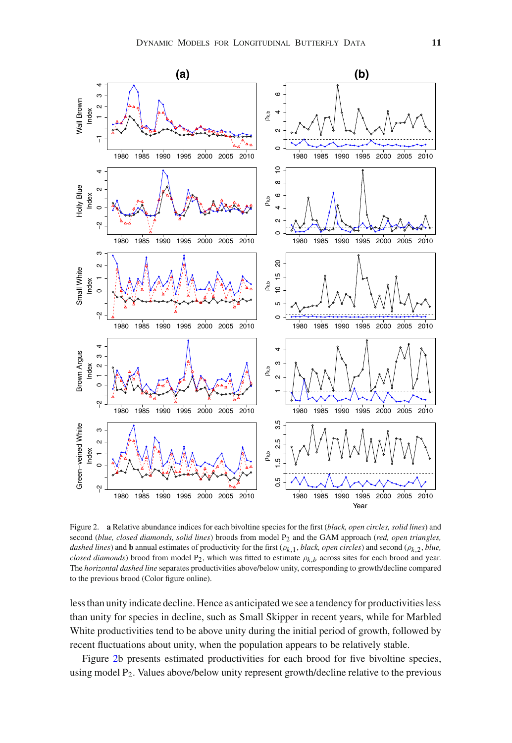

<span id="page-11-0"></span>Figure 2. **a** Relative abundance indices for each bivoltine species for the first (*black, open circles, solid lines*) and second (*blue, closed diamonds, solid lines*) broods from model P2 and the GAM approach (*red, open triangles, dashed lines*) and **b** annual estimates of productivity for the first (ρ*k*,1, *black, open circles*) and second (ρ*k*,2, *blue, closed diamonds*) brood from model  $P_2$ , which was fitted to estimate  $\rho_{k,b}$  across sites for each brood and year. The *horizontal dashed line* separates productivities above/below unity, corresponding to growth/decline compared to the previous brood (Color figure online).

less than unity indicate decline. Hence as anticipated we see a tendency for productivities less than unity for species in decline, such as Small Skipper in recent years, while for Marbled White productivities tend to be above unity during the initial period of growth, followed by recent fluctuations about unity, when the population appears to be relatively stable.

Figure [2b](#page-10-0) presents estimated productivities for each brood for five bivoltine species, using model P2. Values above/below unity represent growth/decline relative to the previous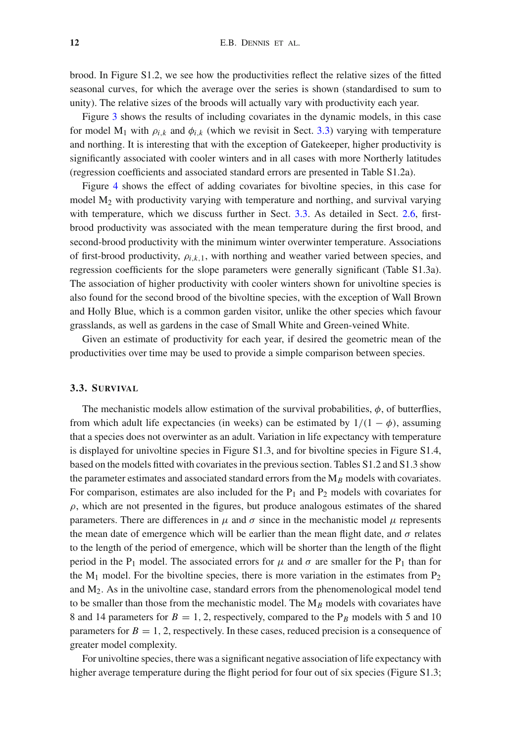<span id="page-12-0"></span>brood. In Figure S1.2, we see how the productivities reflect the relative sizes of the fitted seasonal curves, for which the average over the series is shown (standardised to sum to unity). The relative sizes of the broods will actually vary with productivity each year.

Figure [3](#page-12-0) shows the results of including covariates in the dynamic models, in this case for model M<sub>1</sub> with  $\rho_{i,k}$  and  $\phi_{i,k}$  (which we revisit in Sect. [3.3\)](#page-11-0) varying with temperature and northing. It is interesting that with the exception of Gatekeeper, higher productivity is significantly associated with cooler winters and in all cases with more Northerly latitudes (regression coefficients and associated standard errors are presented in Table S1.2a).

Figure [4](#page-13-0) shows the effect of adding covariates for bivoltine species, in this case for model  $M_2$  with productivity varying with temperature and northing, and survival varying with temperature, which we discuss further in Sect. [3.3.](#page-11-0) As detailed in Sect. [2.6,](#page-7-0) firstbrood productivity was associated with the mean temperature during the first brood, and second-brood productivity with the minimum winter overwinter temperature. Associations of first-brood productivity,  $\rho_{i,k,1}$ , with northing and weather varied between species, and regression coefficients for the slope parameters were generally significant (Table S1.3a). The association of higher productivity with cooler winters shown for univoltine species is also found for the second brood of the bivoltine species, with the exception of Wall Brown and Holly Blue, which is a common garden visitor, unlike the other species which favour grasslands, as well as gardens in the case of Small White and Green-veined White.

Given an estimate of productivity for each year, if desired the geometric mean of the productivities over time may be used to provide a simple comparison between species.

#### **3.3. SURVIVAL**

The mechanistic models allow estimation of the survival probabilities,  $\phi$ , of butterflies, from which adult life expectancies (in weeks) can be estimated by  $1/(1 - \phi)$ , assuming that a species does not overwinter as an adult. Variation in life expectancy with temperature is displayed for univoltine species in Figure S1.3, and for bivoltine species in Figure S1.4, based on the models fitted with covariates in the previous section. Tables S1.2 and S1.3 show the parameter estimates and associated standard errors from the  $M_B$  models with covariates. For comparison, estimates are also included for the  $P_1$  and  $P_2$  models with covariates for  $\rho$ , which are not presented in the figures, but produce analogous estimates of the shared parameters. There are differences in  $\mu$  and  $\sigma$  since in the mechanistic model  $\mu$  represents the mean date of emergence which will be earlier than the mean flight date, and  $\sigma$  relates to the length of the period of emergence, which will be shorter than the length of the flight period in the P<sub>1</sub> model. The associated errors for  $\mu$  and  $\sigma$  are smaller for the P<sub>1</sub> than for the  $M_1$  model. For the bivoltine species, there is more variation in the estimates from  $P_2$ and  $M<sub>2</sub>$ . As in the univoltine case, standard errors from the phenomenological model tend to be smaller than those from the mechanistic model. The M*<sup>B</sup>* models with covariates have 8 and 14 parameters for  $B = 1, 2$ , respectively, compared to the  $P_B$  models with 5 and 10 parameters for  $B = 1, 2$ , respectively. In these cases, reduced precision is a consequence of greater model complexity.

For univoltine species, there was a significant negative association of life expectancy with higher average temperature during the flight period for four out of six species (Figure S1.3;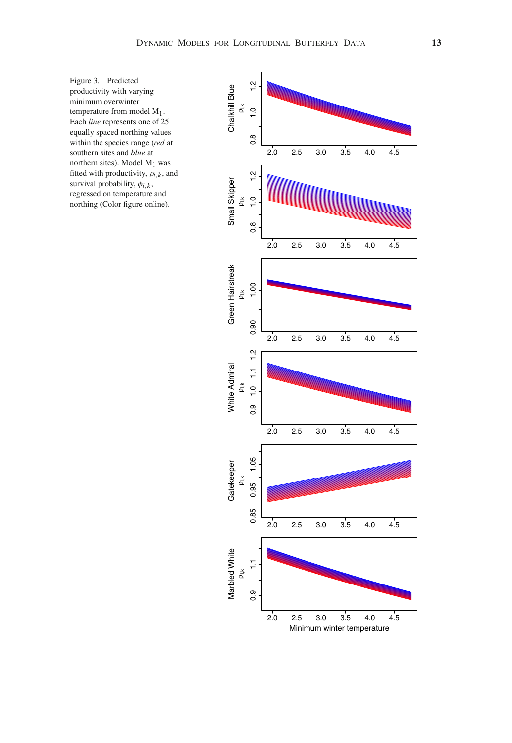<span id="page-13-0"></span>Figure 3. Predicted productivity with varying minimum overwinter temperature from model M<sub>1</sub>. Each *line* represents one of 25 equally spaced northing values within the species range (*red* at southern sites and *blue* at northern sites). Model M1 was fitted with productivity,  $\rho_{i,k}$ , and survival probability, φ*i*,*k* , regressed on temperature and northing (Color figure online).

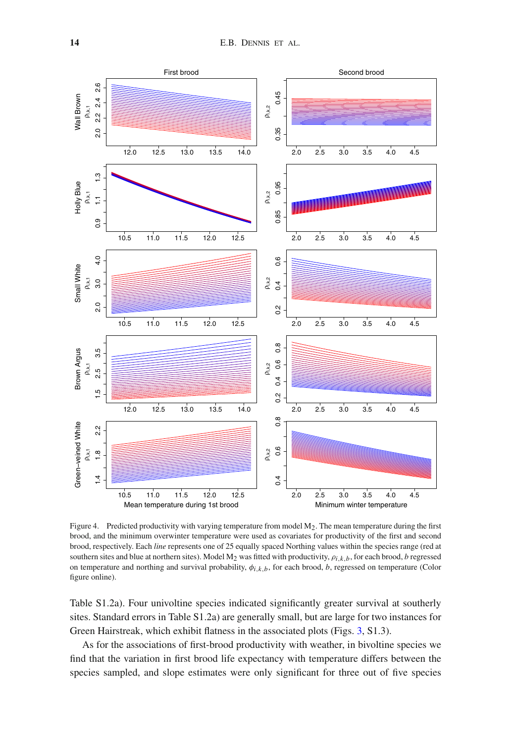

Figure 4. Predicted productivity with varying temperature from model M<sub>2</sub>. The mean temperature during the first brood, and the minimum overwinter temperature were used as covariates for productivity of the first and second brood, respectively. Each *line* represents one of 25 equally spaced Northing values within the species range (red at southern sites and blue at northern sites). Model M2 was fitted with productivity, ρ*i*,*k*,*b*, for each brood, *b* regressed on temperature and northing and survival probability, φ*i*,*k*,*b*, for each brood, *b*, regressed on temperature (Color figure online).

Table S1.2a). Four univoltine species indicated significantly greater survival at southerly sites. Standard errors in Table S1.2a) are generally small, but are large for two instances for Green Hairstreak, which exhibit flatness in the associated plots (Figs. [3,](#page-12-0) S1.3).

As for the associations of first-brood productivity with weather, in bivoltine species we find that the variation in first brood life expectancy with temperature differs between the species sampled, and slope estimates were only significant for three out of five species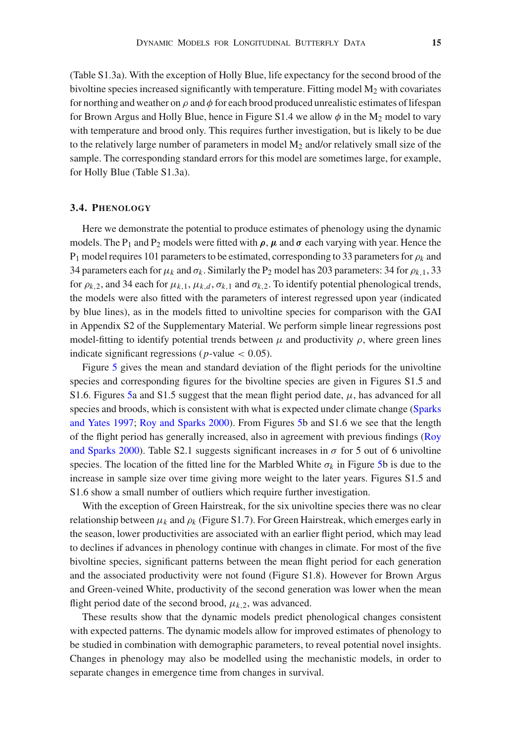(Table S1.3a). With the exception of Holly Blue, life expectancy for the second brood of the bivoltine species increased significantly with temperature. Fitting model  $M_2$  with covariates for northing and weather on  $\rho$  and  $\phi$  for each brood produced unrealistic estimates of lifespan for Brown Argus and Holly Blue, hence in Figure S1.4 we allow  $\phi$  in the M<sub>2</sub> model to vary with temperature and brood only. This requires further investigation, but is likely to be due to the relatively large number of parameters in model  $M_2$  and/or relatively small size of the sample. The corresponding standard errors for this model are sometimes large, for example, for Holly Blue (Table S1.3a).

#### **3.4. PHENOLOGY**

Here we demonstrate the potential to produce estimates of phenology using the dynamic models. The P<sub>1</sub> and P<sub>2</sub> models were fitted with  $\rho$ ,  $\mu$  and  $\sigma$  each varying with year. Hence the P<sub>1</sub> model requires 101 parameters to be estimated, corresponding to 33 parameters for  $\rho_k$  and 34 parameters each for  $\mu_k$  and  $\sigma_k$ . Similarly the P<sub>2</sub> model has 203 parameters: 34 for  $\rho_{k,1}$ , 33 for  $\rho_{k,2}$ , and 34 each for  $\mu_{k,1}$ ,  $\mu_{k,d}$ ,  $\sigma_{k,1}$  and  $\sigma_{k,2}$ . To identify potential phenological trends, the models were also fitted with the parameters of interest regressed upon year (indicated by blue lines), as in the models fitted to univoltine species for comparison with the GAI in Appendix S2 of the Supplementary Material. We perform simple linear regressions post model-fitting to identify potential trends between  $\mu$  and productivity  $\rho$ , where green lines indicate significant regressions ( $p$ -value  $<$  0.05).

Figure [5](#page-15-0) gives the mean and standard deviation of the flight periods for the univoltine species and corresponding figures for the bivoltine species are given in Figures S1.5 and S1.6. Figures [5a](#page-15-0) and S1.5 suggest that the mean flight period date,  $\mu$ , has advanced for all species a[nd broods, which is consistent with what is expected under climate change \(](#page-20-3)Sparks and Yates [1997;](#page-20-3) [Roy and Sparks 2000](#page-19-3)). From Figures [5b](#page-15-0) and S1.6 we see that the length of the fligh[t period has generally increased, also in agreement with previous findings \(](#page-19-3)Roy and Sparks [2000](#page-19-3)). Table S2.1 suggests significant increases in  $\sigma$  for 5 out of 6 univoltine species. The location of the fitted line for the Marbled White σ*<sup>k</sup>* in Figure [5b](#page-15-0) is due to the increase in sample size over time giving more weight to the later years. Figures S1.5 and S1.6 show a small number of outliers which require further investigation.

With the exception of Green Hairstreak, for the six univoltine species there was no clear relationship between μ*<sup>k</sup>* and ρ*<sup>k</sup>* (Figure S1.7). For Green Hairstreak, which emerges early in the season, lower productivities are associated with an earlier flight period, which may lead to declines if advances in phenology continue with changes in climate. For most of the five bivoltine species, significant patterns between the mean flight period for each generation and the associated productivity were not found (Figure S1.8). However for Brown Argus and Green-veined White, productivity of the second generation was lower when the mean flight period date of the second brood,  $\mu_{k,2}$ , was advanced.

<span id="page-15-0"></span>These results show that the dynamic models predict phenological changes consistent with expected patterns. The dynamic models allow for improved estimates of phenology to be studied in combination with demographic parameters, to reveal potential novel insights. Changes in phenology may also be modelled using the mechanistic models, in order to separate changes in emergence time from changes in survival.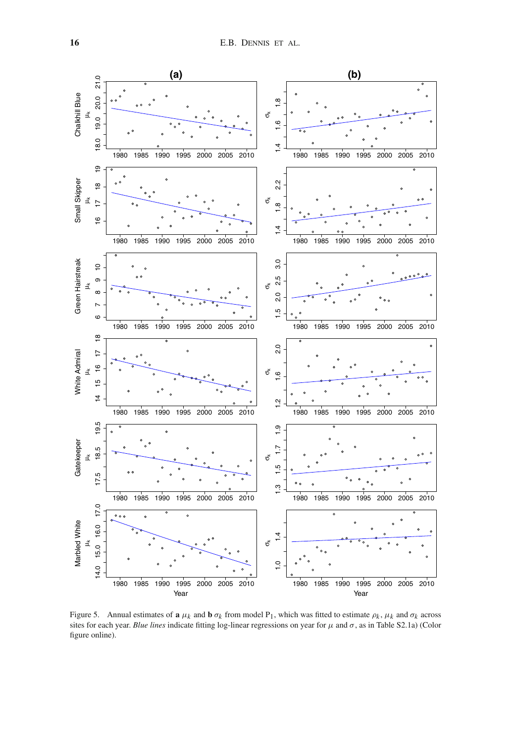

Figure 5. Annual estimates of **a**  $\mu_k$  and **b**  $\sigma_k$  from model P<sub>1</sub>, which was fitted to estimate  $\rho_k$ ,  $\mu_k$  and  $\sigma_k$  across sites for each year. *Blue lines* indicate fitting log-linear regressions on year for μ and σ, as in Table S2.1a) (Color figure online).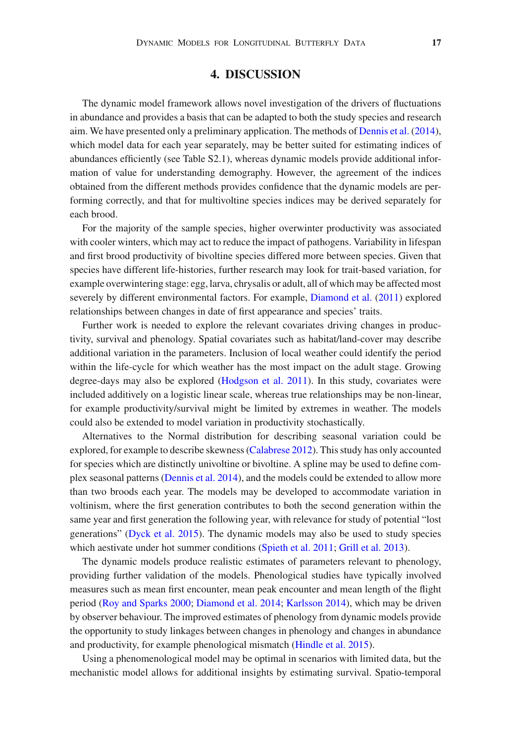#### **4. DISCUSSION**

The dynamic model framework allows novel investigation of the drivers of fluctuations in abundance and provides a basis that can be adapted to both the study species and research aim. We have presented only a preliminary application. The methods of [Dennis et al.](#page-19-6) [\(2014\)](#page-19-6), which model data for each year separately, may be better suited for estimating indices of abundances efficiently (see Table S2.1), whereas dynamic models provide additional information of value for understanding demography. However, the agreement of the indices obtained from the different methods provides confidence that the dynamic models are performing correctly, and that for multivoltine species indices may be derived separately for each brood.

For the majority of the sample species, higher overwinter productivity was associated with cooler winters, which may act to reduce the impact of pathogens. Variability in lifespan and first brood productivity of bivoltine species differed more between species. Given that species have different life-histories, further research may look for trait-based variation, for example overwintering stage: egg, larva, chrysalis or adult, all of which may be affected most severely by different environmental factors. For example, [Diamond et al.](#page-19-11) [\(2011\)](#page-19-11) explored relationships between changes in date of first appearance and species' traits.

Further work is needed to explore the relevant covariates driving changes in productivity, survival and phenology. Spatial covariates such as habitat/land-cover may describe additional variation in the parameters. Inclusion of local weather could identify the period within the life-cycle for which weather has the most impact on the adult stage. Growing degree-days may also be explored [\(Hodgson et al. 2011](#page-19-12)). In this study, covariates were included additively on a logistic linear scale, whereas true relationships may be non-linear, for example productivity/survival might be limited by extremes in weather. The models could also be extended to model variation in productivity stochastically.

Alternatives to the Normal distribution for describing seasonal variation could be explored, for example to describe skewness [\(Calabrese 2012\)](#page-18-6). This study has only accounted for species which are distinctly univoltine or bivoltine. A spline may be used to define complex seasonal patterns [\(Dennis et al. 2014\)](#page-19-6), and the models could be extended to allow more than two broods each year. The models may be developed to accommodate variation in voltinism, where the first generation contributes to both the second generation within the same year and first generation the following year, with relevance for study of potential "lost generations" [\(Dyck et al. 2015\)](#page-20-4). The dynamic models may also be used to study species which aestivate under hot summer conditions [\(Spieth et al. 2011](#page-20-5); [Grill et al. 2013\)](#page-19-13).

The dynamic models produce realistic estimates of parameters relevant to phenology, providing further validation of the models. Phenological studies have typically involved measures such as mean first encounter, mean peak encounter and mean length of the flight period [\(Roy and Sparks 2000;](#page-19-3) [Diamond et al. 2014](#page-19-14); [Karlsson 2014](#page-19-15)), which may be driven by observer behaviour. The improved estimates of phenology from dynamic models provide the opportunity to study linkages between changes in phenology and changes in abundance and productivity, for example phenological mismatch [\(Hindle et al. 2015\)](#page-19-16).

Using a phenomenological model may be optimal in scenarios with limited data, but the mechanistic model allows for additional insights by estimating survival. Spatio-temporal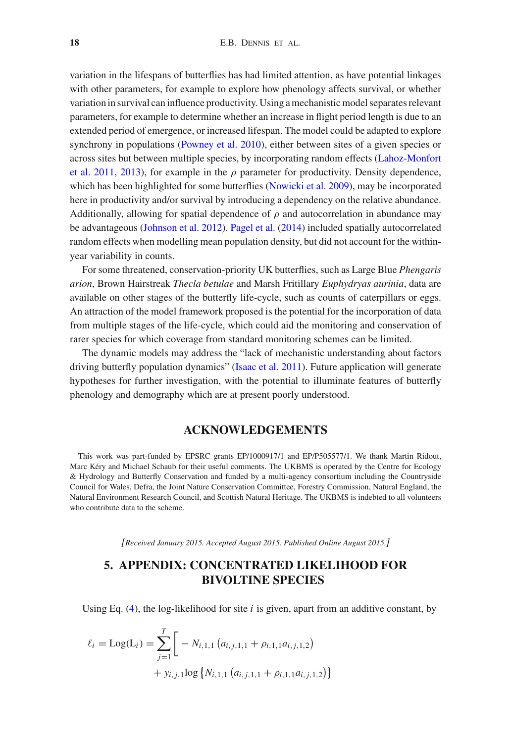<span id="page-18-8"></span>variation in the lifespans of butterflies has had limited attention, as have potential linkages with other parameters, for example to explore how phenology affects survival, or whether variation in survival can influence productivity. Using a mechanistic model separates relevant parameters, for example to determine whether an increase in flight period length is due to an extended period of emergence, or increased lifespan. The model could be adapted to explore synchrony in populations [\(Powney et al. 2010](#page-19-17)), either between sites of a given species or acro[ss sites but between multiple species, by incorporating random effects \(](#page-19-18)Lahoz-Monfort et al. [2011,](#page-19-18) [2013\)](#page-19-19), for example in the  $\rho$  parameter for productivity. Density dependence, which has been highlighted for some butterflies [\(Nowicki et al. 2009](#page-19-20)), may be incorporated here in productivity and/or survival by introducing a dependency on the relative abundance. Additionally, allowing for spatial dependence of  $\rho$  and autocorrelation in abundance may be advantageous [\(Johnson et al. 2012](#page-19-21)). [Pagel et al.](#page-19-7) [\(2014](#page-19-7)) included spatially autocorrelated random effects when modelling mean population density, but did not account for the withinyear variability in counts.

For some threatened, conservation-priority UK butterflies, such as Large Blue *Phengaris arion*, Brown Hairstreak *Thecla betulae* and Marsh Fritillary *Euphydryas aurinia*, data are available on other stages of the butterfly life-cycle, such as counts of caterpillars or eggs. An attraction of the model framework proposed is the potential for the incorporation of data from multiple stages of the life-cycle, which could aid the monitoring and conservation of rarer species for which coverage from standard monitoring schemes can be limited.

<span id="page-18-7"></span>The dynamic models may address the "lack of mechanistic understanding about factors driving butterfly population dynamics" [\(Isaac et al. 2011\)](#page-19-2). Future application will generate hypotheses for further investigation, with the potential to illuminate features of butterfly phenology and demography which are at present poorly understood.

#### **ACKNOWLEDGEMENTS**

<span id="page-18-3"></span><span id="page-18-1"></span>This work was part-funded by EPSRC grants EP/1000917/1 and EP/P505577/1. We thank Martin Ridout, Marc Kéry and Michael Schaub for their useful comments. The UKBMS is operated by the Centre for Ecology & Hydrology and Butterfly Conservation and funded by a multi-agency consortium including the Countryside Council for Wales, Defra, the Joint Nature Conservation Committee, Forestry Commission, Natural England, the Natural Environment Research Council, and Scottish Natural Heritage. The UKBMS is indebted to all volunteers who contribute data to the scheme.

*[Received January 2015. Accepted August 2015. Published Online August 2015.]*

#### **5. APPENDIX: CONCENTRATED LIKELIHOOD FOR BIVOLTINE SPECIES**

<span id="page-18-6"></span><span id="page-18-5"></span><span id="page-18-4"></span>Using Eq.  $(4)$ , the log-likelihood for site *i* is given, apart from an additive constant, by

<span id="page-18-2"></span><span id="page-18-0"></span>
$$
\ell_i = \text{Log}(L_i) = \sum_{j=1}^T \left[ -N_{i,1,1} \left( a_{i,j,1,1} + \rho_{i,1,1} a_{i,j,1,2} \right) + y_{i,j,1} \log \left\{ N_{i,1,1} \left( a_{i,j,1,1} + \rho_{i,1,1} a_{i,j,1,2} \right) \right\} \right]
$$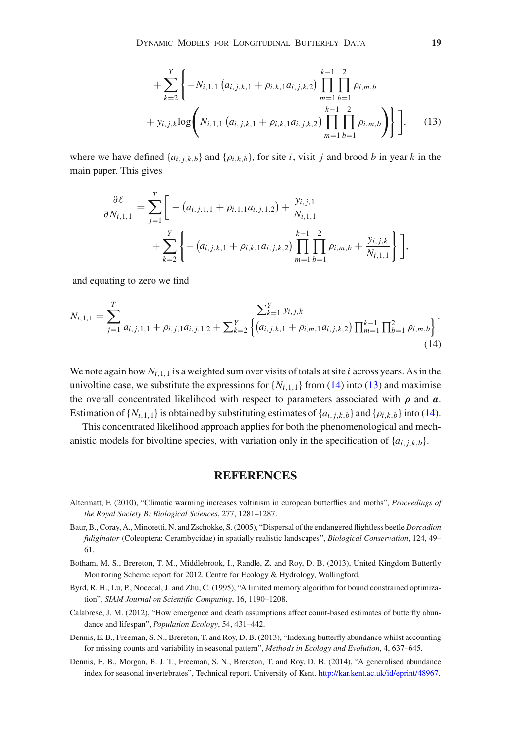$$
+\sum_{k=2}^{Y} \left\{-N_{i,1,1}\left(a_{i,j,k,1}+\rho_{i,k,1}a_{i,j,k,2}\right) \prod_{m=1}^{k-1} \prod_{b=1}^{2} \rho_{i,m,b} \right.+ y_{i,j,k} \log \left(N_{i,1,1}\left(a_{i,j,k,1}+\rho_{i,k,1}a_{i,j,k,2}\right) \prod_{m=1}^{k-1} \prod_{b=1}^{2} \rho_{i,m,b}\right)\right\}\bigg],
$$
(13)

<span id="page-19-16"></span><span id="page-19-14"></span><span id="page-19-13"></span><span id="page-19-11"></span><span id="page-19-8"></span><span id="page-19-6"></span>where we have defined  $\{a_{i,j,k} \}$  and  $\{\rho_{i,k,b}\}$ , for site *i*, visit *j* and brood *b* in year *k* in the main paper. This gives

$$
\frac{\partial \ell}{\partial N_{i,1,1}} = \sum_{j=1}^{T} \Bigg[ - (a_{i,j,1,1} + \rho_{i,1,1} a_{i,j,1,2}) + \frac{y_{i,j,1}}{N_{i,1,1}} + \sum_{k=2}^{Y} \Bigg\{ - (a_{i,j,k,1} + \rho_{i,k,1} a_{i,j,k,2}) \prod_{m=1}^{k-1} \prod_{b=1}^{2} \rho_{i,m,b} + \frac{y_{i,j,k}}{N_{i,1,1}} \Bigg\} \Bigg],
$$

<span id="page-19-21"></span><span id="page-19-12"></span><span id="page-19-2"></span>and equating to zero we find

<span id="page-19-19"></span><span id="page-19-15"></span>
$$
N_{i,1,1} = \sum_{j=1}^{T} \frac{\sum_{k=1}^{Y} y_{i,j,k}}{a_{i,j,1,1} + \rho_{i,j,1} a_{i,j,1,2} + \sum_{k=2}^{Y} \left\{ \left( a_{i,j,k,1} + \rho_{i,m,1} a_{i,j,k,2} \right) \prod_{m=1}^{k-1} \prod_{b=1}^{2} \rho_{i,m,b} \right\}}.
$$
\n(14)

<span id="page-19-18"></span><span id="page-19-5"></span>We note again how  $N_{i,1,1}$  is a weighted sum over visits of totals at site *i* across years. As in the univoltine case, we substitute the expressions for  ${N_{i,1,1}}$  from [\(14\)](#page-18-7) into [\(13\)](#page-18-8) and maximise the overall concentrated likelihood with respect to parameters associated with  $\rho$  and  $\alpha$ . Estimation of  $\{N_{i,1,1}\}\$ is obtained by substituting estimates of  $\{a_{i,i,k,b}\}\$  and  $\{\rho_{i,k,b}\}\$  into [\(14\)](#page-18-7).

<span id="page-19-20"></span><span id="page-19-7"></span>This concentrated likelihood approach applies for both the phenomenological and mechanistic models for bivoltine species, with variation only in the specification of  $\{a_{i,j,k,b}\}$ .

#### **REFERENCES**

- <span id="page-19-10"></span><span id="page-19-0"></span>Altermatt, F. (2010), "Climatic warming increases voltinism in european butterflies and moths", *Proceedings of the Royal Society B: Biological Sciences*, 277, 1281–1287.
- <span id="page-19-17"></span>Baur, B., Coray, A., Minoretti, N. and Zschokke, S. (2005), "Dispersal of the endangered flightless beetle *Dorcadion fuliginator* (Coleoptera: Cerambycidae) in spatially realistic landscapes", *Biological Conservation*, 124, 49– 61.
- <span id="page-19-9"></span>Botham, M. S., Brereton, T. M., Middlebrook, I., Randle, Z. and Roy, D. B. (2013), United Kingdom Butterfly Monitoring Scheme report for 2012. Centre for Ecology & Hydrology, Wallingford.
- <span id="page-19-4"></span>Byrd, R. H., Lu, P., Nocedal, J. and Zhu, C. (1995), "A limited memory algorithm for bound constrained optimization", *SIAM Journal on Scientific Computing*, 16, 1190–1208.
- <span id="page-19-1"></span>Calabrese, J. M. (2012), "How emergence and death assumptions affect count-based estimates of butterfly abundance and lifespan", *Population Ecology*, 54, 431–442.
- <span id="page-19-3"></span>Dennis, E. B., Freeman, S. N., Brereton, T. and Roy, D. B. (2013), "Indexing butterfly abundance whilst accounting for missing counts and variability in seasonal pattern", *Methods in Ecology and Evolution*, 4, 637–645.
- Dennis, E. B., Morgan, B. J. T., Freeman, S. N., Brereton, T. and Roy, D. B. (2014), "A generalised abundance index for seasonal invertebrates", Technical report. University of Kent. [http://kar.kent.ac.uk/id/eprint/48967.](http://kar.kent.ac.uk/id/eprint/48967)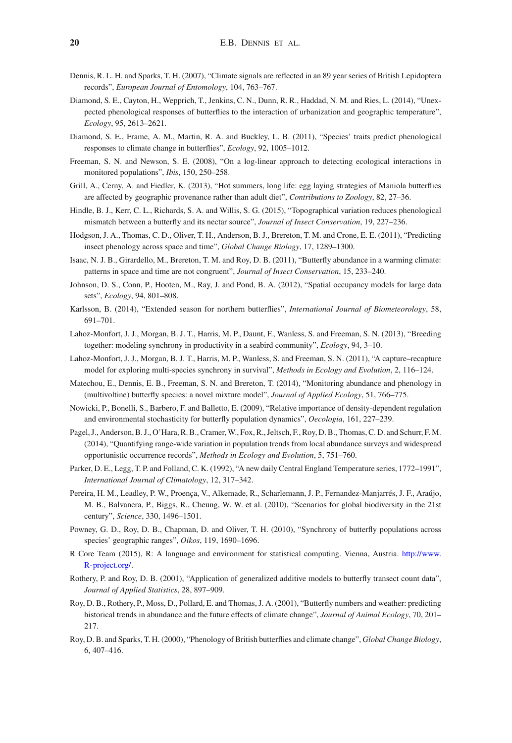- <span id="page-20-2"></span>Dennis, R. L. H. and Sparks, T. H. (2007), "Climate signals are reflected in an 89 year series of British Lepidoptera records", *European Journal of Entomology*, 104, 763–767.
- <span id="page-20-3"></span>Diamond, S. E., Cayton, H., Wepprich, T., Jenkins, C. N., Dunn, R. R., Haddad, N. M. and Ries, L. (2014), "Unexpected phenological responses of butterflies to the interaction of urbanization and geographic temperature", *Ecology*, 95, 2613–2621.
- <span id="page-20-5"></span>Diamond, S. E., Frame, A. M., Martin, R. A. and Buckley, L. B. (2011), "Species' traits predict phenological responses to climate change in butterflies", *Ecology*, 92, 1005–1012.
- <span id="page-20-0"></span>Freeman, S. N. and Newson, S. E. (2008), "On a log-linear approach to detecting ecological interactions in monitored populations", *Ibis*, 150, 250–258.
- <span id="page-20-1"></span>Grill, A., Cerny, A. and Fiedler, K. (2013), "Hot summers, long life: egg laying strategies of Maniola butterflies are affected by geographic provenance rather than adult diet", *Contributions to Zoology*, 82, 27–36.
- <span id="page-20-4"></span>Hindle, B. J., Kerr, C. L., Richards, S. A. and Willis, S. G. (2015), "Topographical variation reduces phenological mismatch between a butterfly and its nectar source", *Journal of Insect Conservation*, 19, 227–236.
- Hodgson, J. A., Thomas, C. D., Oliver, T. H., Anderson, B. J., Brereton, T. M. and Crone, E. E. (2011), "Predicting insect phenology across space and time", *Global Change Biology*, 17, 1289–1300.
- Isaac, N. J. B., Girardello, M., Brereton, T. M. and Roy, D. B. (2011), "Butterfly abundance in a warming climate: patterns in space and time are not congruent", *Journal of Insect Conservation*, 15, 233–240.
- Johnson, D. S., Conn, P., Hooten, M., Ray, J. and Pond, B. A. (2012), "Spatial occupancy models for large data sets", *Ecology*, 94, 801–808.
- Karlsson, B. (2014), "Extended season for northern butterflies", *International Journal of Biometeorology*, 58, 691–701.
- Lahoz-Monfort, J. J., Morgan, B. J. T., Harris, M. P., Daunt, F., Wanless, S. and Freeman, S. N. (2013), "Breeding together: modeling synchrony in productivity in a seabird community", *Ecology*, 94, 3–10.
- Lahoz-Monfort, J. J., Morgan, B. J. T., Harris, M. P., Wanless, S. and Freeman, S. N. (2011), "A capture–recapture model for exploring multi-species synchrony in survival", *Methods in Ecology and Evolution*, 2, 116–124.
- Matechou, E., Dennis, E. B., Freeman, S. N. and Brereton, T. (2014), "Monitoring abundance and phenology in (multivoltine) butterfly species: a novel mixture model", *Journal of Applied Ecology*, 51, 766–775.
- Nowicki, P., Bonelli, S., Barbero, F. and Balletto, E. (2009), "Relative importance of density-dependent regulation and environmental stochasticity for butterfly population dynamics", *Oecologia*, 161, 227–239.
- Pagel, J., Anderson, B. J., O'Hara, R. B., Cramer, W., Fox, R., Jeltsch, F., Roy, D. B., Thomas, C. D. and Schurr, F. M. (2014), "Quantifying range-wide variation in population trends from local abundance surveys and widespread opportunistic occurrence records", *Methods in Ecology and Evolution*, 5, 751–760.
- Parker, D. E., Legg, T. P. and Folland, C. K. (1992), "A new daily Central England Temperature series, 1772–1991", *International Journal of Climatology*, 12, 317–342.
- Pereira, H. M., Leadley, P. W., Proença, V., Alkemade, R., Scharlemann, J. P., Fernandez-Manjarrés, J. F., Araújo, M. B., Balvanera, P., Biggs, R., Cheung, W. W. et al. (2010), "Scenarios for global biodiversity in the 21st century", *Science*, 330, 1496–1501.
- Powney, G. D., Roy, D. B., Chapman, D. and Oliver, T. H. (2010), "Synchrony of butterfly populations across species' geographic ranges", *Oikos*, 119, 1690–1696.
- R Core Team (2015), R: A language and environment for statistical computing. Vienna, Austria. [http://www.](http://www.R-project.org/) [R-project.org/.](http://www.R-project.org/)
- Rothery, P. and Roy, D. B. (2001), "Application of generalized additive models to butterfly transect count data", *Journal of Applied Statistics*, 28, 897–909.
- Roy, D. B., Rothery, P., Moss, D., Pollard, E. and Thomas, J. A. (2001), "Butterfly numbers and weather: predicting historical trends in abundance and the future effects of climate change", *Journal of Animal Ecology*, 70, 201– 217.
- Roy, D. B. and Sparks, T. H. (2000), "Phenology of British butterflies and climate change", *Global Change Biology*, 6, 407–416.